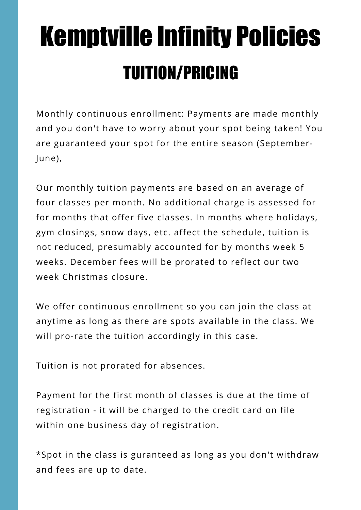# Kemptville Infinity Policies TUITION/PRICING

Monthly continuous enrollment: Payments are made monthly and you don't have to worry about your spot being taken! You are guaranteed your spot for the entire season (September-June),

Our monthly tuition payments are based on an average of four classes per month. No additional charge is assessed for for months that offer five classes. In months where holidays, gym closings, snow days, etc. affect the schedule, tuition is not reduced, presumably accounted for by months week 5 weeks. December fees will be prorated to reflect our two week Christmas closure.

We offer continuous enrollment so you can join the class at anytime as long as there are spots available in the class. We will pro-rate the tuition accordingly in this case.

Tuition is not prorated for absences.

Payment for the first month of classes is due at the time of registration - it will be charged to the credit card on file within one business day of registration.

\*Spot in the class is guranteed as long as you don't withdraw and fees are up to date.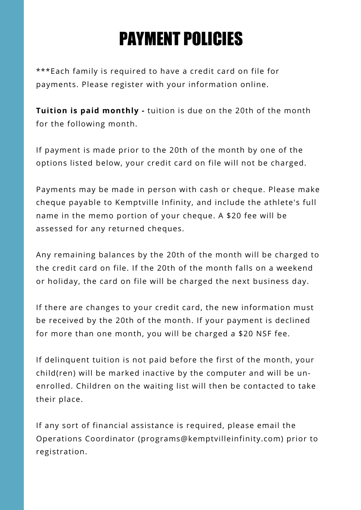## PAYMENT POLICIES

\*\*\*Each family is required to have a credit card on file for payments. Please register with your information online.

**Tuition is paid monthly -** tuition is due on the 20th of the month for the following month.

If payment is made prior to the 20th of the month by one of the options listed below, your credit card on file will not be charged.

Payments may be made in person with cash or cheque. Please make cheque payable to Kemptville Infinity, and include the athlete's full name in the memo portion of your cheque. A \$20 fee will be assessed for any returned cheques.

Any remaining balances by the 20th of the month will be charged to the credit card on file. If the 20th of the month falls on a weekend or holiday, the card on file will be charged the next business day.

If there are changes to your credit card, the new information must be received by the 20th of the month. If your payment is declined for more than one month, you will be charged a \$20 NSF fee.

If delinquent tuition is not paid before the first of the month, your child(ren) will be marked inactive by the computer and will be unenrolled. Children on the waiting list will then be contacted to take their place.

If any sort of financial assistance is required, please email the Operations Coordinator (programs@kemptvilleinfinity.com) prior to registration.